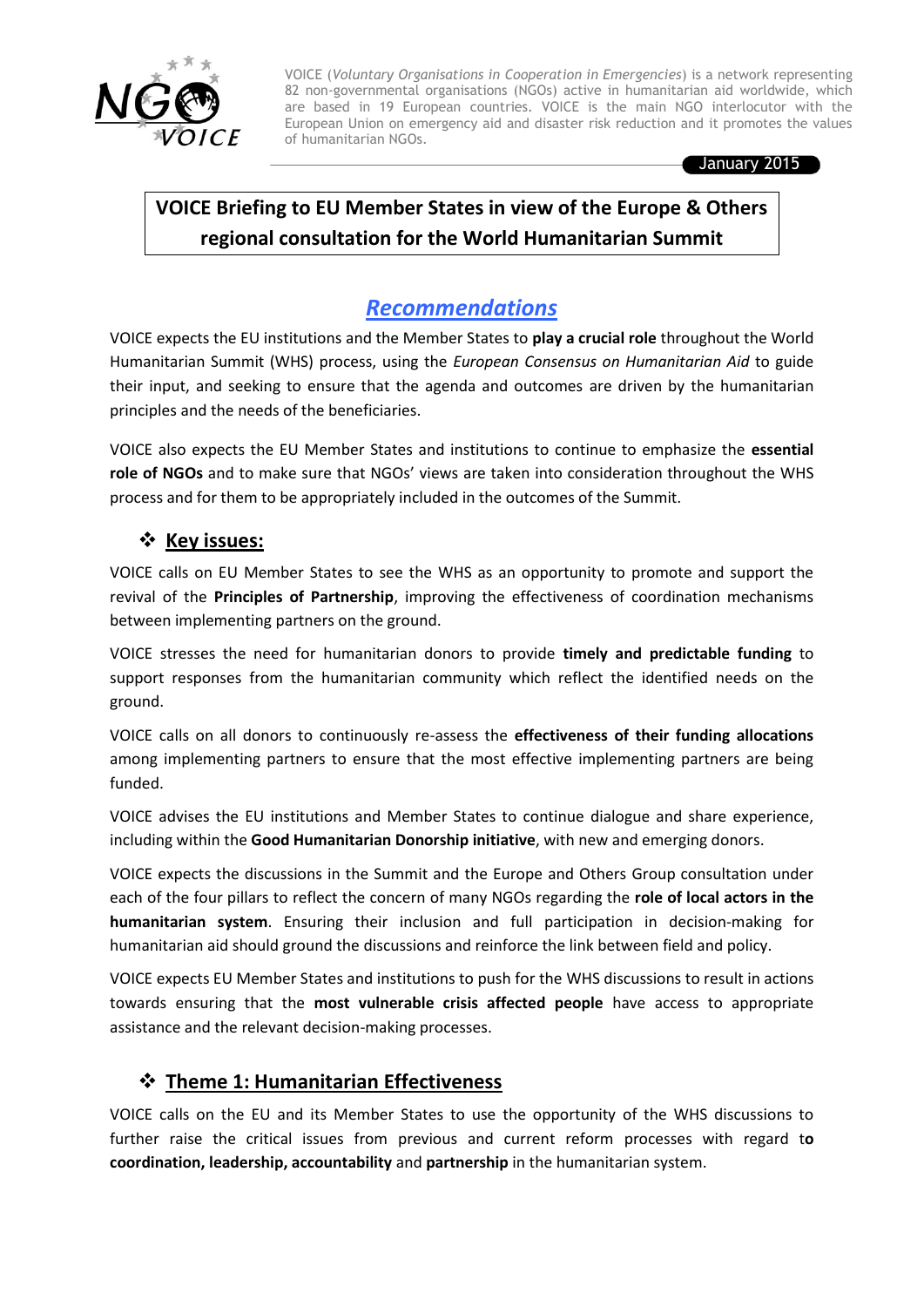

VOICE (*Voluntary Organisations in Cooperation in Emergencies*) is a network representing 82 non-governmental organisations (NGOs) active in humanitarian aid worldwide, which are based in 19 European countries. VOICE is the main NGO interlocutor with the European Union on emergency aid and disaster risk reduction and it promotes the values of humanitarian NGOs.

January 2015

# **VOICE Briefing to EU Member States in view of the Europe & Others regional consultation for the World Humanitarian Summit**

# *Recommendations*

VOICE expects the EU institutions and the Member States to **play a crucial role** throughout the World Humanitarian Summit (WHS) process, using the *European Consensus on Humanitarian Aid* to guide their input, and seeking to ensure that the agenda and outcomes are driven by the humanitarian principles and the needs of the beneficiaries.

VOICE also expects the EU Member States and institutions to continue to emphasize the **essential role of NGOs** and to make sure that NGOs' views are taken into consideration throughout the WHS process and for them to be appropriately included in the outcomes of the Summit.

### **Key issues:**

VOICE calls on EU Member States to see the WHS as an opportunity to promote and support the revival of the **Principles of Partnership**, improving the effectiveness of coordination mechanisms between implementing partners on the ground.

support responses from the humanitarian community which reflect the identified needs on the VOICE stresses the need for humanitarian donors to provide **timely and predictable funding** to ground.

VOICE calls on all donors to continuously re-assess the **effectiveness of their funding allocations** among implementing partners to ensure that the most effective implementing partners are being funded.

VOICE advises the EU institutions and Member States to continue dialogue and share experience, including within the **Good Humanitarian Donorship initiative**, with new and emerging donors.

VOICE expects the discussions in the Summit and the Europe and Others Group consultation under each of the four pillars to reflect the concern of many NGOs regarding the **role of local actors in the humanitarian system**. Ensuring their inclusion and full participation in decision-making for humanitarian aid should ground the discussions and reinforce the link between field and policy.

VOICE expects EU Member States and institutions to push for the WHS discussions to result in actions towards ensuring that the **most vulnerable crisis affected people** have access to appropriate assistance and the relevant decision-making processes.

## **Theme 1: Humanitarian Effectiveness**

VOICE calls on the EU and its Member States to use the opportunity of the WHS discussions to further raise the critical issues from previous and current reform processes with regard t**o coordination, leadership, accountability** and **partnership** in the humanitarian system.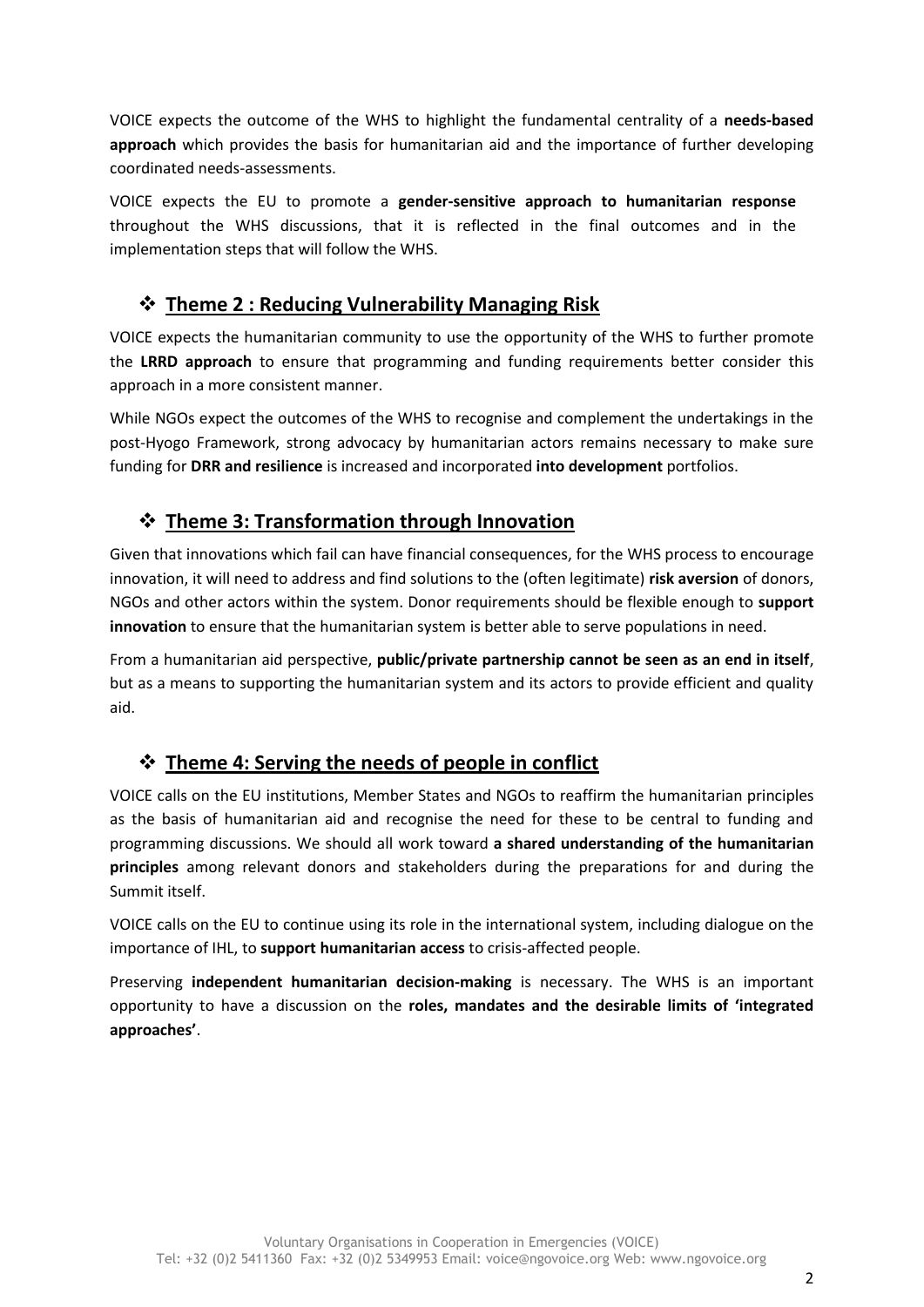VOICE expects the outcome of the WHS to highlight the fundamental centrality of a **needs-based approach** which provides the basis for humanitarian aid and the importance of further developing coordinated needs-assessments.

VOICE expects the EU to promote a **gender-sensitive approach to humanitarian response** throughout the WHS discussions, that it is reflected in the final outcomes and in the implementation steps that will follow the WHS.

## **Theme 2 : Reducing Vulnerability Managing Risk**

VOICE expects the humanitarian community to use the opportunity of the WHS to further promote the **LRRD approach** to ensure that programming and funding requirements better consider this approach in a more consistent manner.

While NGOs expect the outcomes of the WHS to recognise and complement the undertakings in the post-Hyogo Framework, strong advocacy by humanitarian actors remains necessary to make sure funding for **DRR and resilience** is increased and incorporated **into development** portfolios.

## **Theme 3: Transformation through Innovation**

Given that innovations which fail can have financial consequences, for the WHS process to encourage innovation, it will need to address and find solutions to the (often legitimate) **risk aversion** of donors, NGOs and other actors within the system. Donor requirements should be flexible enough to **support innovation** to ensure that the humanitarian system is better able to serve populations in need.

From a humanitarian aid perspective, **public/private partnership cannot be seen as an end in itself**, but as a means to supporting the humanitarian system and its actors to provide efficient and quality aid.

## **Theme 4: Serving the needs of people in conflict**

VOICE calls on the EU institutions, Member States and NGOs to reaffirm the humanitarian principles as the basis of humanitarian aid and recognise the need for these to be central to funding and programming discussions. We should all work toward **a shared understanding of the humanitarian principles** among relevant donors and stakeholders during the preparations for and during the Summit itself.

VOICE calls on the EU to continue using its role in the international system, including dialogue on the importance of IHL, to **support humanitarian access** to crisis-affected people.

Preserving **independent humanitarian decision-making** is necessary. The WHS is an important opportunity to have a discussion on the **roles, mandates and the desirable limits of 'integrated approaches'**.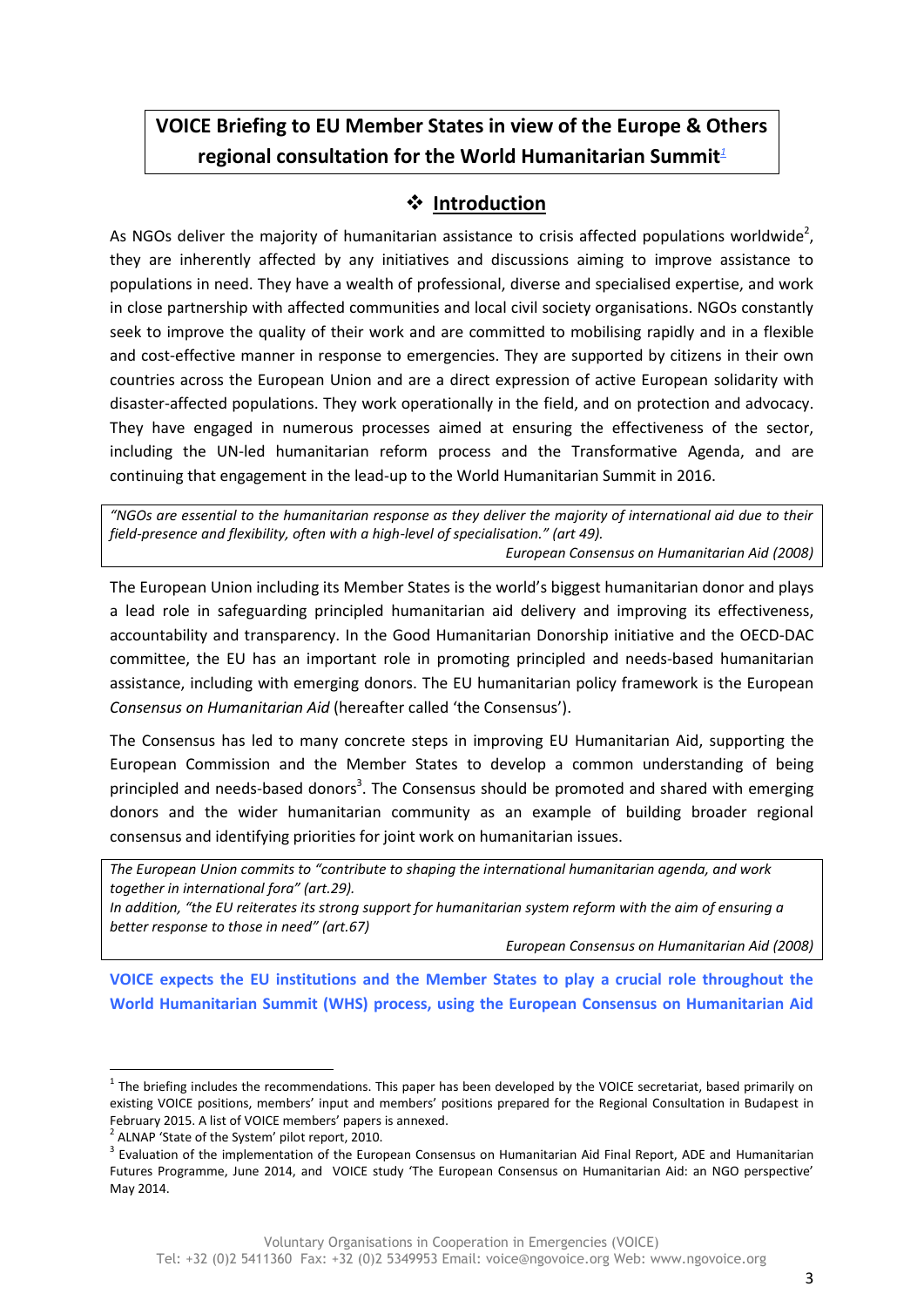# **VOICE Briefing to EU Member States in view of the Europe & Others regional consultation for the World Humanitarian Summit***<sup>1</sup>*

## **• Introduction**

As NGOs deliver the majority of humanitarian assistance to crisis affected populations worldwide<sup>2</sup>, they are inherently affected by any initiatives and discussions aiming to improve assistance to populations in need. They have a wealth of professional, diverse and specialised expertise, and work in close partnership with affected communities and local civil society organisations. NGOs constantly seek to improve the quality of their work and are committed to mobilising rapidly and in a flexible and cost-effective manner in response to emergencies. They are supported by citizens in their own countries across the European Union and are a direct expression of active European solidarity with disaster-affected populations. They work operationally in the field, and on protection and advocacy. They have engaged in numerous processes aimed at ensuring the effectiveness of the sector, including the UN-led humanitarian reform process and the Transformative Agenda, and are continuing that engagement in the lead-up to the World Humanitarian Summit in 2016.

*"NGOs are essential to the humanitarian response as they deliver the majority of international aid due to their field-presence and flexibility, often with a high-level of specialisation." (art 49). European Consensus on Humanitarian Aid (2008)*

The European Union including its Member States is the world's biggest humanitarian donor and plays a lead role in safeguarding principled humanitarian aid delivery and improving its effectiveness, accountability and transparency. In the Good Humanitarian Donorship initiative and the OECD-DAC committee, the EU has an important role in promoting principled and needs-based humanitarian assistance, including with emerging donors. The EU humanitarian policy framework is the European *Consensus on Humanitarian Aid* (hereafter called 'the Consensus').

The Consensus has led to many concrete steps in improving EU Humanitarian Aid, supporting the European Commission and the Member States to develop a common understanding of being principled and needs-based donors<sup>3</sup>. The Consensus should be promoted and shared with emerging donors and the wider humanitarian community as an example of building broader regional consensus and identifying priorities for joint work on humanitarian issues.

*The European Union commits to "contribute to shaping the international humanitarian agenda, and work together in international fora" (art.29).* 

*In addition, "the EU reiterates its strong support for humanitarian system reform with the aim of ensuring a better response to those in need" (art.67)*

*European Consensus on Humanitarian Aid (2008)*

**VOICE expects the EU institutions and the Member States to play a crucial role throughout the World Humanitarian Summit (WHS) process, using the European Consensus on Humanitarian Aid** 

1

 $1$  The briefing includes the recommendations. This paper has been developed by the VOICE secretariat, based primarily on existing VOICE positions, members' input and members' positions prepared for the Regional Consultation in Budapest in February 2015. A list of VOICE members' papers is annexed.

<sup>&</sup>lt;sup>2</sup> ALNAP 'State of the System' pilot report, 2010.

<sup>&</sup>lt;sup>3</sup> Evaluation of the implementation of the European Consensus on Humanitarian Aid Final Report, ADE and Humanitarian Futures Programme, June 2014, and VOICE study 'The European Consensus on Humanitarian Aid: an NGO perspective' May 2014.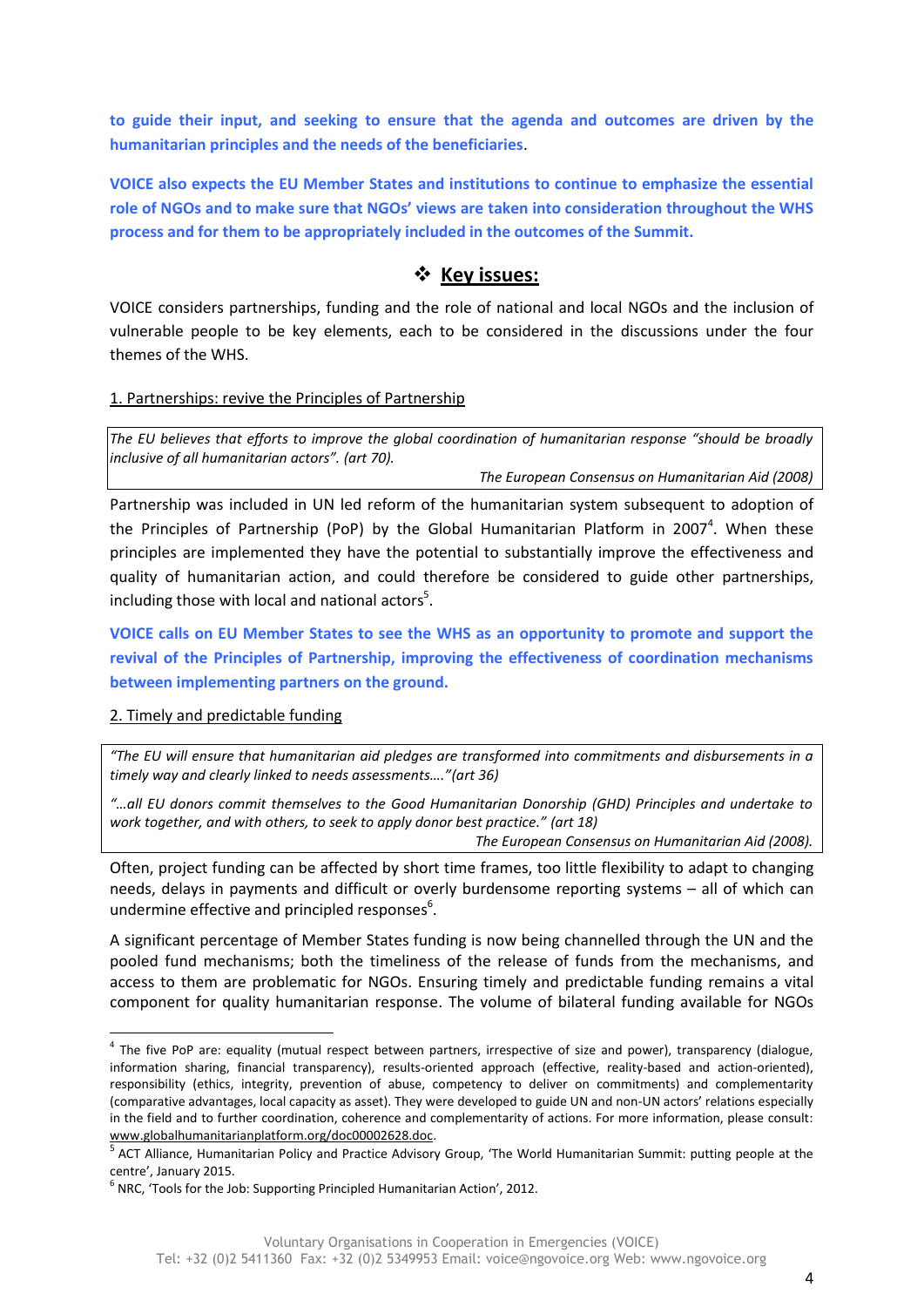**to guide their input, and seeking to ensure that the agenda and outcomes are driven by the humanitarian principles and the needs of the beneficiaries**.

**VOICE also expects the EU Member States and institutions to continue to emphasize the essential role of NGOs and to make sure that NGOs' views are taken into consideration throughout the WHS process and for them to be appropriately included in the outcomes of the Summit.**

### **Key issues:**

VOICE considers partnerships, funding and the role of national and local NGOs and the inclusion of vulnerable people to be key elements, each to be considered in the discussions under the four themes of the WHS.

#### 1. Partnerships: revive the Principles of Partnership

*The EU believes that efforts to improve the global coordination of humanitarian response "should be broadly inclusive of all humanitarian actors". (art 70).*

*The European Consensus on Humanitarian Aid (2008)*

Partnership was included in UN led reform of the humanitarian system subsequent to adoption of the Principles of Partnership (PoP) by the Global Humanitarian Platform in 2007<sup>4</sup>. When these principles are implemented they have the potential to substantially improve the effectiveness and quality of humanitarian action, and could therefore be considered to guide other partnerships, including those with local and national actors<sup>5</sup>.

**VOICE calls on EU Member States to see the WHS as an opportunity to promote and support the revival of the Principles of Partnership, improving the effectiveness of coordination mechanisms between implementing partners on the ground.** 

#### 2. Timely and predictable funding

1

*"The EU will ensure that humanitarian aid pledges are transformed into commitments and disbursements in a timely way and clearly linked to needs assessments…."(art 36)*

*"…all EU donors commit themselves to the Good Humanitarian Donorship (GHD) Principles and undertake to work together, and with others, to seek to apply donor best practice." (art 18)*

*The European Consensus on Humanitarian Aid (2008).*

Often, project funding can be affected by short time frames, too little flexibility to adapt to changing needs, delays in payments and difficult or overly burdensome reporting systems – all of which can undermine effective and principled responses<sup>6</sup>.

A significant percentage of Member States funding is now being channelled through the UN and the pooled fund mechanisms; both the timeliness of the release of funds from the mechanisms, and access to them are problematic for NGOs. Ensuring timely and predictable funding remains a vital component for quality humanitarian response. The volume of bilateral funding available for NGOs

<sup>&</sup>lt;sup>4</sup> The five PoP are: equality (mutual respect between partners, irrespective of size and power), transparency (dialogue, information sharing, financial transparency), results-oriented approach (effective, reality-based and action-oriented), responsibility (ethics, integrity, prevention of abuse, competency to deliver on commitments) and complementarity (comparative advantages, local capacity as asset). They were developed to guide UN and non-UN actors' relations especially in the field and to further coordination, coherence and complementarity of actions. For more information, please consult: [www.globalhumanitarianplatform.org/doc00002628.doc.](http://www.globalhumanitarianplatform.org/doc00002628.doc)

<sup>&</sup>lt;sup>5</sup> ACT Alliance, Humanitarian Policy and Practice Advisory Group, 'The World Humanitarian Summit: putting people at the centre', January 2015.

 $<sup>6</sup>$  NRC, 'Tools for the Job: Supporting Principled Humanitarian Action', 2012.</sup>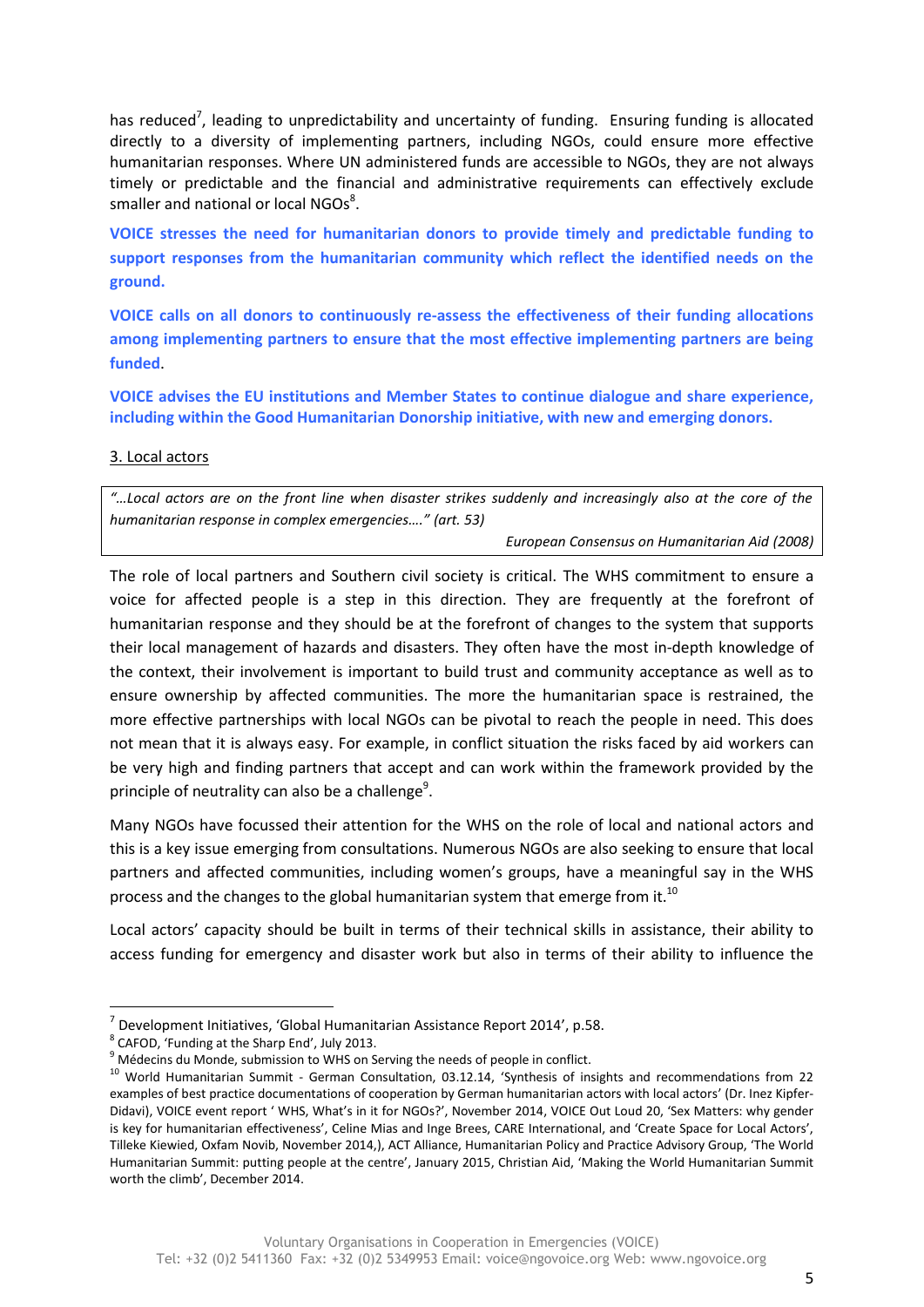has reduced<sup>7</sup>, leading to unpredictability and uncertainty of funding. Ensuring funding is allocated directly to a diversity of implementing partners, including NGOs, could ensure more effective humanitarian responses. Where UN administered funds are accessible to NGOs, they are not always timely or predictable and the financial and administrative requirements can effectively exclude smaller and national or local NGOs $^{8}$ .

**VOICE stresses the need for humanitarian donors to provide timely and predictable funding to support responses from the humanitarian community which reflect the identified needs on the ground.**

**VOICE calls on all donors to continuously re-assess the effectiveness of their funding allocations among implementing partners to ensure that the most effective implementing partners are being funded**.

**VOICE advises the EU institutions and Member States to continue dialogue and share experience, including within the Good Humanitarian Donorship initiative, with new and emerging donors.** 

#### 3. Local actors

*"…Local actors are on the front line when disaster strikes suddenly and increasingly also at the core of the humanitarian response in complex emergencies…." (art. 53)*

*European Consensus on Humanitarian Aid (2008)*

The role of local partners and Southern civil society is critical. The WHS commitment to ensure a voice for affected people is a step in this direction. They are frequently at the forefront of humanitarian response and they should be at the forefront of changes to the system that supports their local management of hazards and disasters. They often have the most in-depth knowledge of the context, their involvement is important to build trust and community acceptance as well as to ensure ownership by affected communities. The more the humanitarian space is restrained, the more effective partnerships with local NGOs can be pivotal to reach the people in need. This does not mean that it is always easy. For example, in conflict situation the risks faced by aid workers can be very high and finding partners that accept and can work within the framework provided by the principle of neutrality can also be a challenge<sup>9</sup>.

Many NGOs have focussed their attention for the WHS on the role of local and national actors and this is a key issue emerging from consultations. Numerous NGOs are also seeking to ensure that local partners and affected communities, including women's groups, have a meaningful say in the WHS process and the changes to the global humanitarian system that emerge from it.<sup>10</sup>

Local actors' capacity should be built in terms of their technical skills in assistance, their ability to access funding for emergency and disaster work but also in terms of their ability to influence the

**.** 

 $^7$  Development Initiatives, 'Global Humanitarian Assistance Report 2014', p.58.

<sup>&</sup>lt;sup>8</sup> CAFOD, 'Funding at the Sharp End', July 2013.

 $9$  Médecins du Monde, submission to WHS on Serving the needs of people in conflict.

<sup>&</sup>lt;sup>10</sup> World Humanitarian Summit - German Consultation, 03.12.14, 'Synthesis of insights and recommendations from 22 examples of best practice documentations of cooperation by German humanitarian actors with local actors' (Dr. Inez Kipfer-Didavi), VOICE event report ' WHS, What's in it for NGOs?', November 2014, VOICE Out Loud 20, 'Sex Matters: why gender is key for humanitarian effectiveness', Celine Mias and Inge Brees, CARE International, and 'Create Space for Local Actors', Tilleke Kiewied, Oxfam Novib, November 2014,), ACT Alliance, Humanitarian Policy and Practice Advisory Group, 'The World Humanitarian Summit: putting people at the centre', January 2015, Christian Aid, 'Making the World Humanitarian Summit worth the climb', December 2014.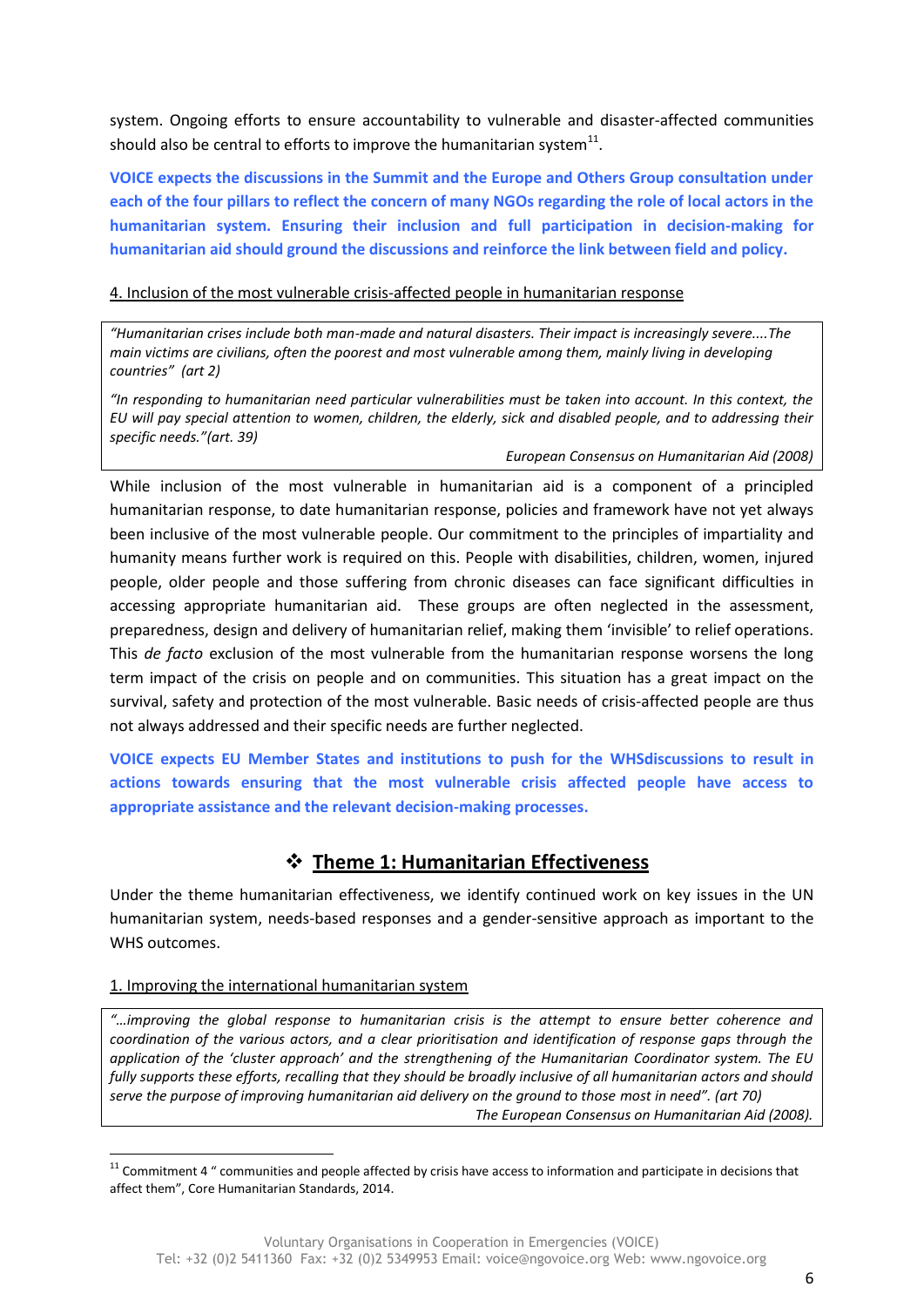system. Ongoing efforts to ensure accountability to vulnerable and disaster-affected communities should also be central to efforts to improve the humanitarian system $^{11}$ .

**VOICE expects the discussions in the Summit and the Europe and Others Group consultation under each of the four pillars to reflect the concern of many NGOs regarding the role of local actors in the humanitarian system. Ensuring their inclusion and full participation in decision-making for humanitarian aid should ground the discussions and reinforce the link between field and policy.**

#### 4. Inclusion of the most vulnerable crisis-affected people in humanitarian response

*"Humanitarian crises include both man-made and natural disasters. Their impact is increasingly severe....The main victims are civilians, often the poorest and most vulnerable among them, mainly living in developing countries" (art 2)*

*"In responding to humanitarian need particular vulnerabilities must be taken into account. In this context, the EU will pay special attention to women, children, the elderly, sick and disabled people, and to addressing their specific needs."(art. 39)*

*European Consensus on Humanitarian Aid (2008)* 

While inclusion of the most vulnerable in humanitarian aid is a component of a principled humanitarian response, to date humanitarian response, policies and framework have not yet always been inclusive of the most vulnerable people. Our commitment to the principles of impartiality and humanity means further work is required on this. People with disabilities, children, women, injured people, older people and those suffering from chronic diseases can face significant difficulties in accessing appropriate humanitarian aid. These groups are often neglected in the assessment, preparedness, design and delivery of humanitarian relief, making them 'invisible' to relief operations. This *de facto* exclusion of the most vulnerable from the humanitarian response worsens the long term impact of the crisis on people and on communities. This situation has a great impact on the survival, safety and protection of the most vulnerable. Basic needs of crisis-affected people are thus not always addressed and their specific needs are further neglected.

**VOICE expects EU Member States and institutions to push for the WHSdiscussions to result in actions towards ensuring that the most vulnerable crisis affected people have access to appropriate assistance and the relevant decision-making processes.** 

## **Theme 1: Humanitarian Effectiveness**

Under the theme humanitarian effectiveness, we identify continued work on key issues in the UN humanitarian system, needs-based responses and a gender-sensitive approach as important to the WHS outcomes.

#### 1. Improving the international humanitarian system

**.** 

*"…improving the global response to humanitarian crisis is the attempt to ensure better coherence and coordination of the various actors, and a clear prioritisation and identification of response gaps through the application of the 'cluster approach' and the strengthening of the Humanitarian Coordinator system. The EU fully supports these efforts, recalling that they should be broadly inclusive of all humanitarian actors and should serve the purpose of improving humanitarian aid delivery on the ground to those most in need". (art 70) The European Consensus on Humanitarian Aid (2008).*

 $11$  Commitment 4  $\degree$  communities and people affected by crisis have access to information and participate in decisions that affect them", Core Humanitarian Standards, 2014.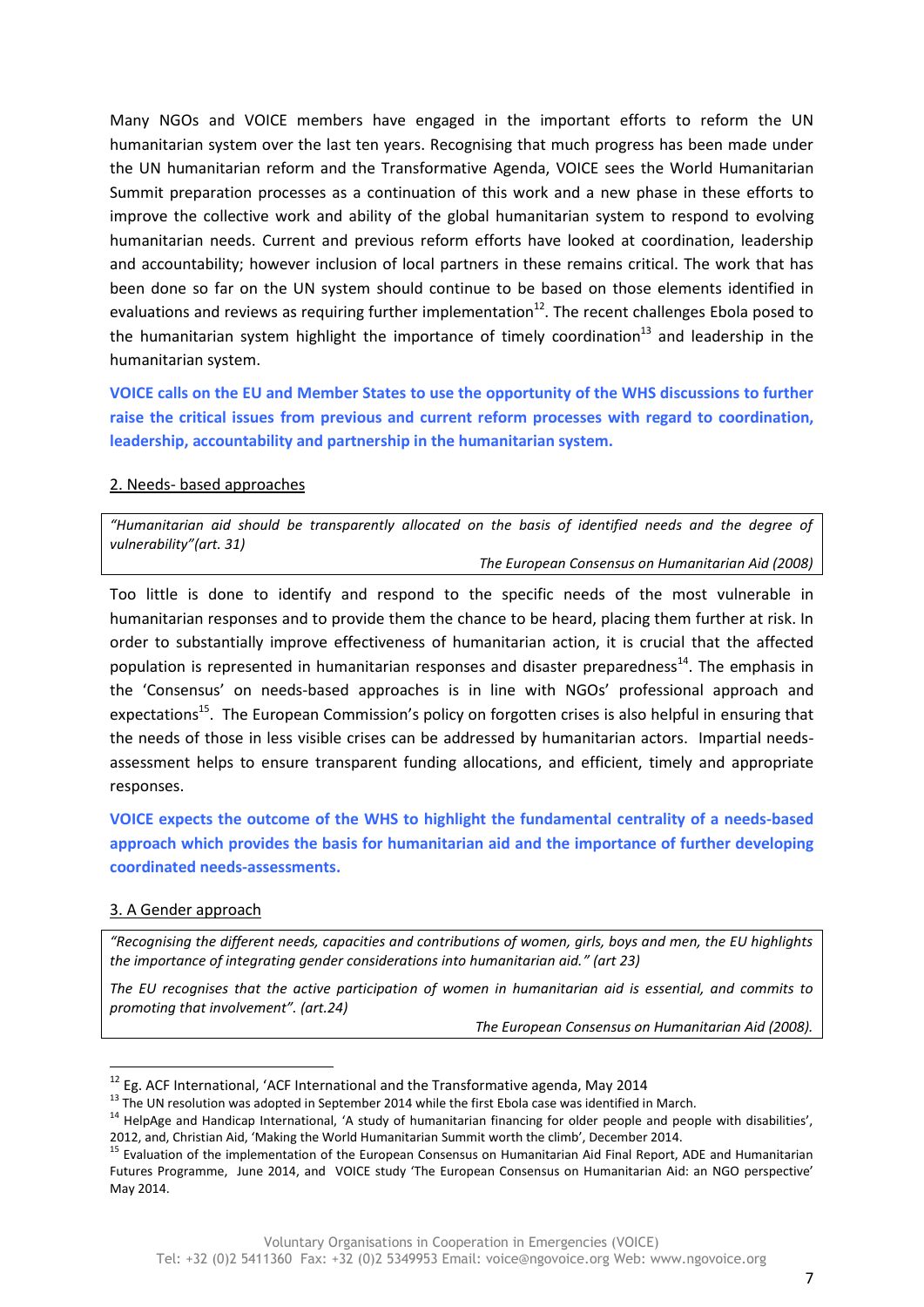Many NGOs and VOICE members have engaged in the important efforts to reform the UN humanitarian system over the last ten years. Recognising that much progress has been made under the UN humanitarian reform and the Transformative Agenda, VOICE sees the World Humanitarian Summit preparation processes as a continuation of this work and a new phase in these efforts to improve the collective work and ability of the global humanitarian system to respond to evolving humanitarian needs. Current and previous reform efforts have looked at coordination, leadership and accountability; however inclusion of local partners in these remains critical. The work that has been done so far on the UN system should continue to be based on those elements identified in evaluations and reviews as requiring further implementation<sup>12</sup>. The recent challenges Ebola posed to the humanitarian system highlight the importance of timely coordination<sup>13</sup> and leadership in the humanitarian system.

**VOICE calls on the EU and Member States to use the opportunity of the WHS discussions to further raise the critical issues from previous and current reform processes with regard to coordination, leadership, accountability and partnership in the humanitarian system.**

#### 2. Needs- based approaches

*"Humanitarian aid should be transparently allocated on the basis of identified needs and the degree of vulnerability"(art. 31)*

*The European Consensus on Humanitarian Aid (2008)*

Too little is done to identify and respond to the specific needs of the most vulnerable in humanitarian responses and to provide them the chance to be heard, placing them further at risk. In order to substantially improve effectiveness of humanitarian action, it is crucial that the affected population is represented in humanitarian responses and disaster preparedness<sup>14</sup>. The emphasis in the 'Consensus' on needs-based approaches is in line with NGOs' professional approach and expectations<sup>15</sup>. The European Commission's policy on forgotten crises is also helpful in ensuring that the needs of those in less visible crises can be addressed by humanitarian actors. Impartial needsassessment helps to ensure transparent funding allocations, and efficient, timely and appropriate responses.

**VOICE expects the outcome of the WHS to highlight the fundamental centrality of a needs-based approach which provides the basis for humanitarian aid and the importance of further developing coordinated needs-assessments.**

#### 3. A Gender approach

**.** 

*"Recognising the different needs, capacities and contributions of women, girls, boys and men, the EU highlights the importance of integrating gender considerations into humanitarian aid." (art 23)*

*The EU recognises that the active participation of women in humanitarian aid is essential, and commits to promoting that involvement". (art.24)* 

*The European Consensus on Humanitarian Aid (2008).*

 $^{12}$  Eg. ACF International, 'ACF International and the Transformative agenda, May 2014

<sup>&</sup>lt;sup>13</sup> The UN resolution was adopted in September 2014 while the first Ebola case was identified in March.

<sup>&</sup>lt;sup>14</sup> HelpAge and Handicap International, 'A study of humanitarian financing for older people and people with disabilities', 2012, and, Christian Aid, 'Making the World Humanitarian Summit worth the climb', December 2014.

<sup>&</sup>lt;sup>15</sup> Evaluation of the implementation of the European Consensus on Humanitarian Aid Final Report, ADE and Humanitarian Futures Programme, June 2014, and VOICE study 'The European Consensus on Humanitarian Aid: an NGO perspective' May 2014.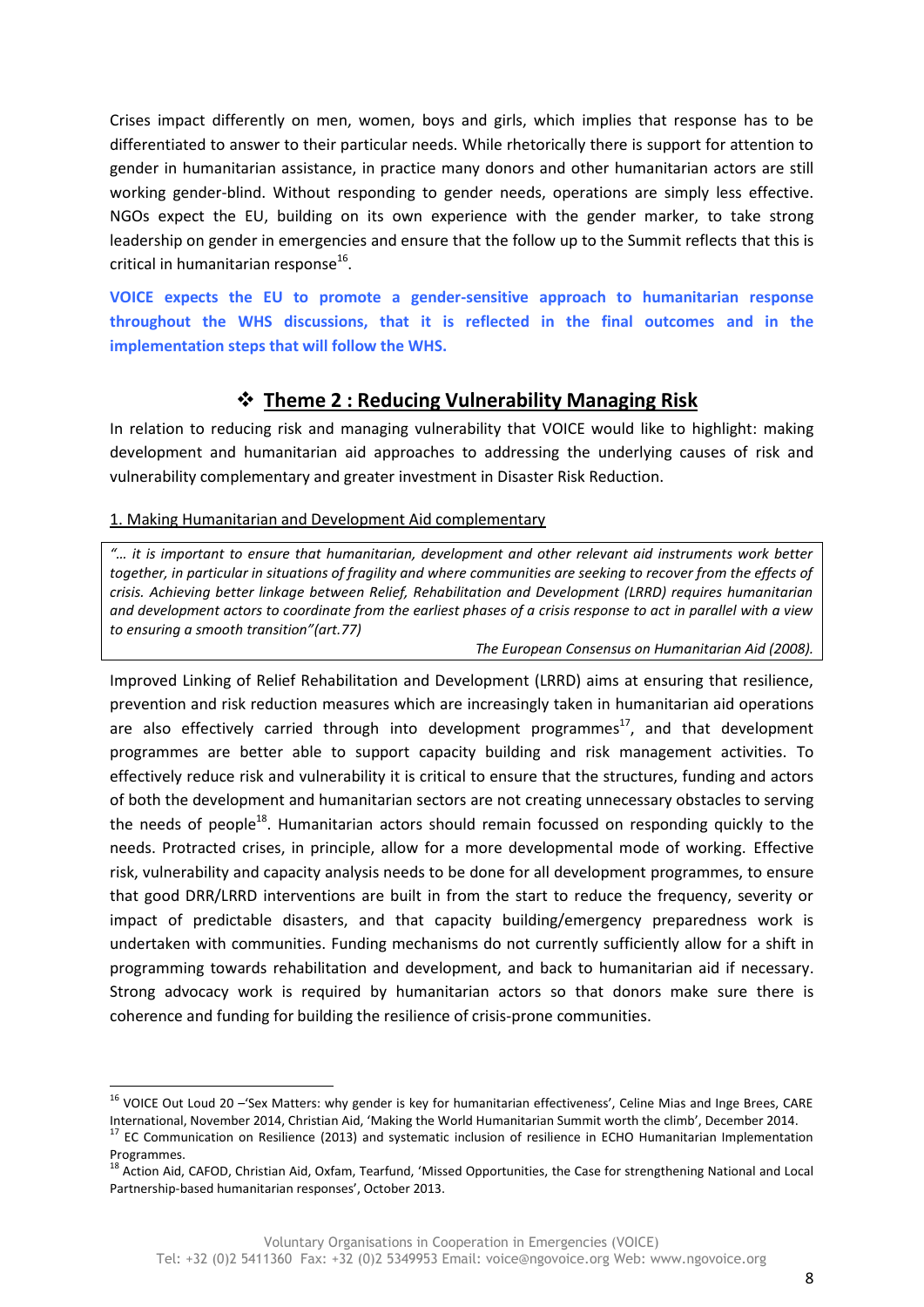Crises impact differently on men, women, boys and girls, which implies that response has to be differentiated to answer to their particular needs. While rhetorically there is support for attention to gender in humanitarian assistance, in practice many donors and other humanitarian actors are still working gender-blind. Without responding to gender needs, operations are simply less effective. NGOs expect the EU, building on its own experience with the gender marker, to take strong leadership on gender in emergencies and ensure that the follow up to the Summit reflects that this is critical in humanitarian response<sup>16</sup>.

**VOICE expects the EU to promote a gender-sensitive approach to humanitarian response throughout the WHS discussions, that it is reflected in the final outcomes and in the implementation steps that will follow the WHS.** 

### **Theme 2 : Reducing Vulnerability Managing Risk**

In relation to reducing risk and managing vulnerability that VOICE would like to highlight: making development and humanitarian aid approaches to addressing the underlying causes of risk and vulnerability complementary and greater investment in Disaster Risk Reduction.

#### 1. Making Humanitarian and Development Aid complementary

 $\overline{a}$ 

*"… it is important to ensure that humanitarian, development and other relevant aid instruments work better*  together, in particular in situations of fragility and where communities are seeking to recover from the effects of *crisis. Achieving better linkage between Relief, Rehabilitation and Development (LRRD) requires humanitarian and development actors to coordinate from the earliest phases of a crisis response to act in parallel with a view to ensuring a smooth transition"(art.77)*

*The European Consensus on Humanitarian Aid (2008).* 

Improved Linking of Relief Rehabilitation and Development (LRRD) aims at ensuring that resilience, prevention and risk reduction measures which are increasingly taken in humanitarian aid operations are also effectively carried through into development programmes $^{17}$ , and that development programmes are better able to support capacity building and risk management activities. To effectively reduce risk and vulnerability it is critical to ensure that the structures, funding and actors of both the development and humanitarian sectors are not creating unnecessary obstacles to serving the needs of people<sup>18</sup>. Humanitarian actors should remain focussed on responding quickly to the needs. Protracted crises, in principle, allow for a more developmental mode of working. Effective risk, vulnerability and capacity analysis needs to be done for all development programmes, to ensure that good DRR/LRRD interventions are built in from the start to reduce the frequency, severity or impact of predictable disasters, and that capacity building/emergency preparedness work is undertaken with communities. Funding mechanisms do not currently sufficiently allow for a shift in programming towards rehabilitation and development, and back to humanitarian aid if necessary. Strong advocacy work is required by humanitarian actors so that donors make sure there is coherence and funding for building the resilience of crisis-prone communities.

<sup>&</sup>lt;sup>16</sup> VOICE Out Loud 20 –'Sex Matters: why gender is key for humanitarian effectiveness', Celine Mias and Inge Brees, CARE International, November 2014, Christian Aid, 'Making the World Humanitarian Summit worth the climb', December 2014.

<sup>&</sup>lt;sup>17</sup> EC Communication on Resilience (2013) and systematic inclusion of resilience in ECHO Humanitarian Implementation Programmes.

<sup>&</sup>lt;sup>18</sup> Action Aid, CAFOD, Christian Aid, Oxfam, Tearfund, 'Missed Opportunities, the Case for strengthening National and Local Partnership-based humanitarian responses', October 2013.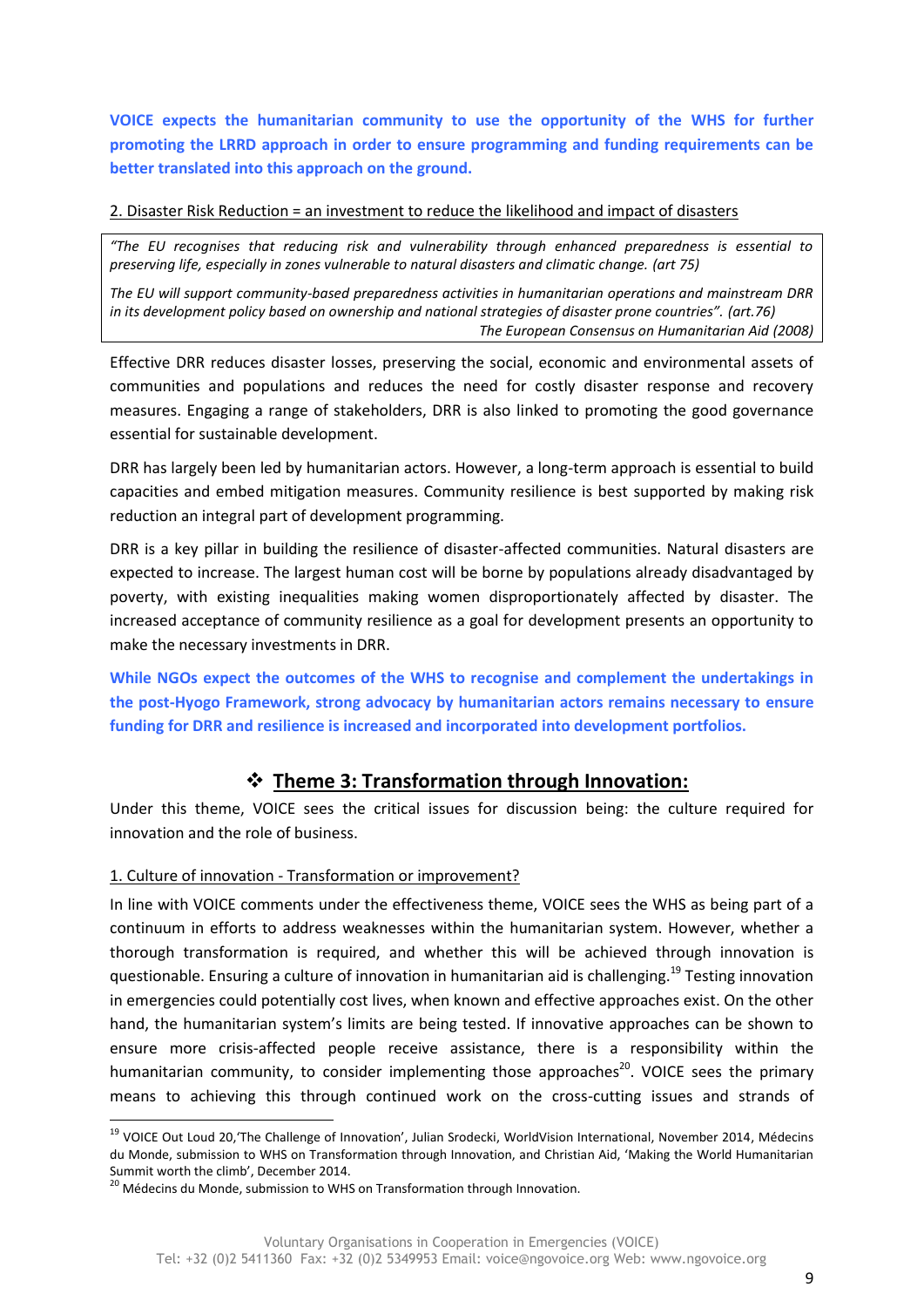**VOICE expects the humanitarian community to use the opportunity of the WHS for further promoting the LRRD approach in order to ensure programming and funding requirements can be better translated into this approach on the ground.**

2. Disaster Risk Reduction = an investment to reduce the likelihood and impact of disasters

*"The EU recognises that reducing risk and vulnerability through enhanced preparedness is essential to preserving life, especially in zones vulnerable to natural disasters and climatic change. (art 75)*

*The EU will support community-based preparedness activities in humanitarian operations and mainstream DRR in its development policy based on ownership and national strategies of disaster prone countries". (art.76) The European Consensus on Humanitarian Aid (2008)*

Effective DRR reduces disaster losses, preserving the social, economic and environmental assets of communities and populations and reduces the need for costly disaster response and recovery measures. Engaging a range of stakeholders, DRR is also linked to promoting the good governance essential for sustainable development.

DRR has largely been led by humanitarian actors. However, a long-term approach is essential to build capacities and embed mitigation measures. Community resilience is best supported by making risk reduction an integral part of development programming.

DRR is a key pillar in building the resilience of disaster-affected communities. Natural disasters are expected to increase. The largest human cost will be borne by populations already disadvantaged by poverty, with existing inequalities making women disproportionately affected by disaster. The increased acceptance of community resilience as a goal for development presents an opportunity to make the necessary investments in DRR.

**While NGOs expect the outcomes of the WHS to recognise and complement the undertakings in the post-Hyogo Framework, strong advocacy by humanitarian actors remains necessary to ensure funding for DRR and resilience is increased and incorporated into development portfolios.** 

## **Theme 3: Transformation through Innovation:**

Under this theme, VOICE sees the critical issues for discussion being: the culture required for innovation and the role of business.

#### 1. Culture of innovation - Transformation or improvement?

In line with VOICE comments under the effectiveness theme, VOICE sees the WHS as being part of a continuum in efforts to address weaknesses within the humanitarian system. However, whether a thorough transformation is required, and whether this will be achieved through innovation is questionable. Ensuring a culture of innovation in humanitarian aid is challenging.<sup>19</sup> Testing innovation in emergencies could potentially cost lives, when known and effective approaches exist. On the other hand, the humanitarian system's limits are being tested. If innovative approaches can be shown to ensure more crisis-affected people receive assistance, there is a responsibility within the humanitarian community, to consider implementing those approaches<sup>20</sup>. VOICE sees the primary means to achieving this through continued work on the cross-cutting issues and strands of

**.** 

<sup>&</sup>lt;sup>19</sup> VOICE Out Loud 20,'The Challenge of Innovation', Julian Srodecki, WorldVision International, November 2014, Médecins du Monde, submission to WHS on Transformation through Innovation, and Christian Aid, 'Making the World Humanitarian Summit worth the climb', December 2014.

<sup>&</sup>lt;sup>20</sup> Médecins du Monde, submission to WHS on Transformation through Innovation.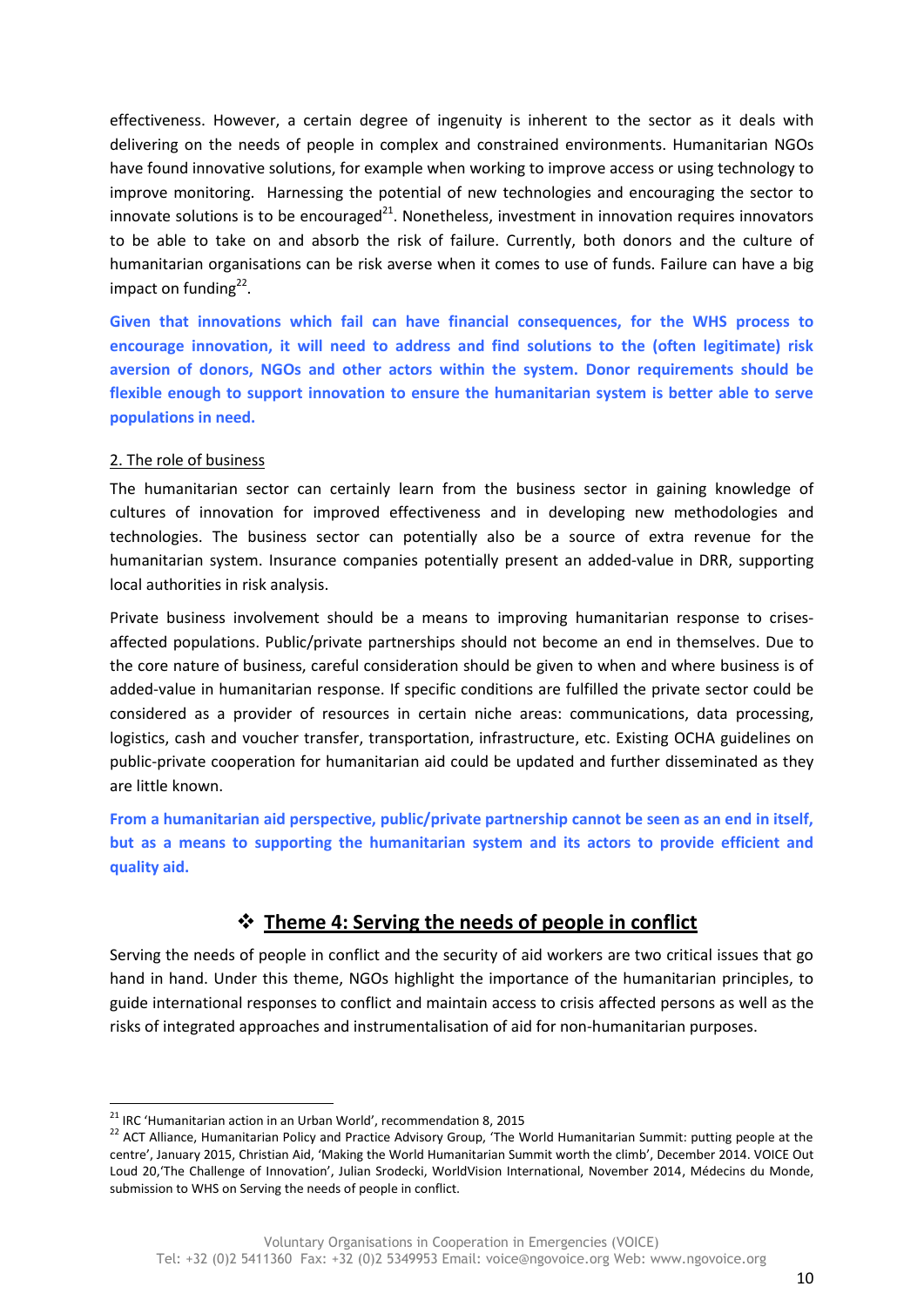effectiveness. However, a certain degree of ingenuity is inherent to the sector as it deals with delivering on the needs of people in complex and constrained environments. Humanitarian NGOs have found innovative solutions, for example when working to improve access or using technology to improve monitoring. Harnessing the potential of new technologies and encouraging the sector to innovate solutions is to be encouraged $^{21}$ . Nonetheless, investment in innovation requires innovators to be able to take on and absorb the risk of failure. Currently, both donors and the culture of humanitarian organisations can be risk averse when it comes to use of funds. Failure can have a big impact on funding<sup>22</sup>.

**Given that innovations which fail can have financial consequences, for the WHS process to encourage innovation, it will need to address and find solutions to the (often legitimate) risk aversion of donors, NGOs and other actors within the system. Donor requirements should be flexible enough to support innovation to ensure the humanitarian system is better able to serve populations in need.**

#### 2. The role of business

**.** 

The humanitarian sector can certainly learn from the business sector in gaining knowledge of cultures of innovation for improved effectiveness and in developing new methodologies and technologies. The business sector can potentially also be a source of extra revenue for the humanitarian system. Insurance companies potentially present an added-value in DRR, supporting local authorities in risk analysis.

Private business involvement should be a means to improving humanitarian response to crisesaffected populations. Public/private partnerships should not become an end in themselves. Due to the core nature of business, careful consideration should be given to when and where business is of added-value in humanitarian response. If specific conditions are fulfilled the private sector could be considered as a provider of resources in certain niche areas: communications, data processing, logistics, cash and voucher transfer, transportation, infrastructure, etc. Existing OCHA guidelines on public-private cooperation for humanitarian aid could be updated and further disseminated as they are little known.

**From a humanitarian aid perspective, public/private partnership cannot be seen as an end in itself, but as a means to supporting the humanitarian system and its actors to provide efficient and quality aid.** 

## **Theme 4: Serving the needs of people in conflict**

Serving the needs of people in conflict and the security of aid workers are two critical issues that go hand in hand. Under this theme, NGOs highlight the importance of the humanitarian principles, to guide international responses to conflict and maintain access to crisis affected persons as well as the risks of integrated approaches and instrumentalisation of aid for non-humanitarian purposes.

 $21$  IRC 'Humanitarian action in an Urban World', recommendation 8, 2015

<sup>&</sup>lt;sup>22</sup> ACT Alliance, Humanitarian Policy and Practice Advisory Group, 'The World Humanitarian Summit: putting people at the centre', January 2015, Christian Aid, 'Making the World Humanitarian Summit worth the climb', December 2014. VOICE Out Loud 20,'The Challenge of Innovation', Julian Srodecki, WorldVision International, November 2014, Médecins du Monde, submission to WHS on Serving the needs of people in conflict.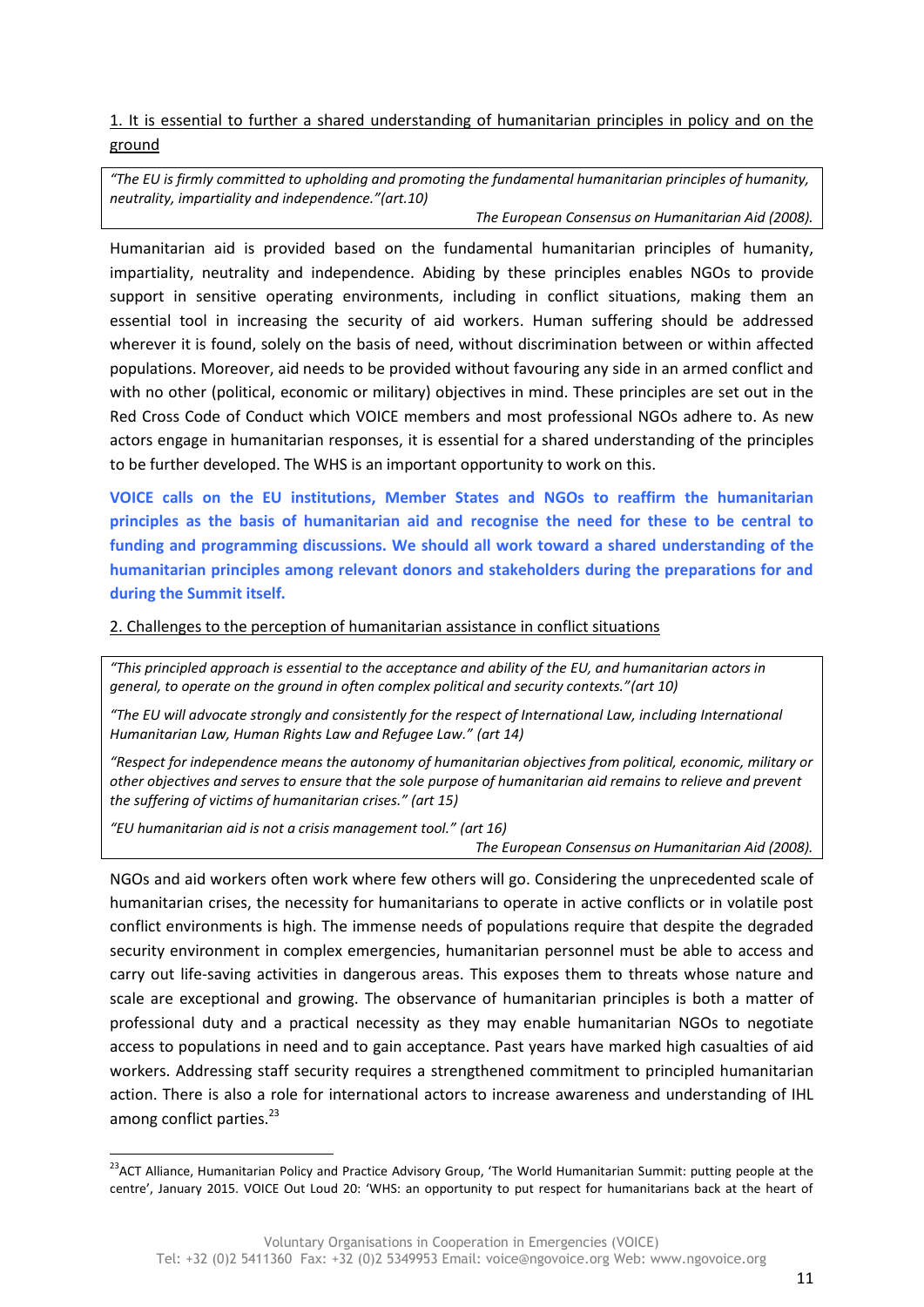1. It is essential to further a shared understanding of humanitarian principles in policy and on the ground

*"The EU is firmly committed to upholding and promoting the fundamental humanitarian principles of humanity, neutrality, impartiality and independence."(art.10)*

*The European Consensus on Humanitarian Aid (2008).* 

Humanitarian aid is provided based on the fundamental humanitarian principles of humanity, impartiality, neutrality and independence. Abiding by these principles enables NGOs to provide support in sensitive operating environments, including in conflict situations, making them an essential tool in increasing the security of aid workers. Human suffering should be addressed wherever it is found, solely on the basis of need, without discrimination between or within affected populations. Moreover, aid needs to be provided without favouring any side in an armed conflict and with no other (political, economic or military) objectives in mind. These principles are set out in the Red Cross Code of Conduct which VOICE members and most professional NGOs adhere to. As new actors engage in humanitarian responses, it is essential for a shared understanding of the principles to be further developed. The WHS is an important opportunity to work on this.

**VOICE calls on the EU institutions, Member States and NGOs to reaffirm the humanitarian principles as the basis of humanitarian aid and recognise the need for these to be central to funding and programming discussions. We should all work toward a shared understanding of the humanitarian principles among relevant donors and stakeholders during the preparations for and during the Summit itself.**

2. Challenges to the perception of humanitarian assistance in conflict situations

*"This principled approach is essential to the acceptance and ability of the EU, and humanitarian actors in general, to operate on the ground in often complex political and security contexts."(art 10)*

*"The EU will advocate strongly and consistently for the respect of International Law, including International Humanitarian Law, Human Rights Law and Refugee Law." (art 14)*

*"Respect for independence means the autonomy of humanitarian objectives from political, economic, military or other objectives and serves to ensure that the sole purpose of humanitarian aid remains to relieve and prevent the suffering of victims of humanitarian crises." (art 15)*

*"EU humanitarian aid is not a crisis management tool." (art 16)*

**.** 

*The European Consensus on Humanitarian Aid (2008).*

NGOs and aid workers often work where few others will go. Considering the unprecedented scale of humanitarian crises, the necessity for humanitarians to operate in active conflicts or in volatile post conflict environments is high. The immense needs of populations require that despite the degraded security environment in complex emergencies, humanitarian personnel must be able to access and carry out life-saving activities in dangerous areas. This exposes them to threats whose nature and scale are exceptional and growing. The observance of humanitarian principles is both a matter of professional duty and a practical necessity as they may enable humanitarian NGOs to negotiate access to populations in need and to gain acceptance. Past years have marked high casualties of aid workers. Addressing staff security requires a strengthened commitment to principled humanitarian action. There is also a role for international actors to increase awareness and understanding of IHL among conflict parties.<sup>23</sup>

<sup>&</sup>lt;sup>23</sup>ACT Alliance, Humanitarian Policy and Practice Advisory Group, 'The World Humanitarian Summit: putting people at the centre', January 2015. VOICE Out Loud 20: 'WHS: an opportunity to put respect for humanitarians back at the heart of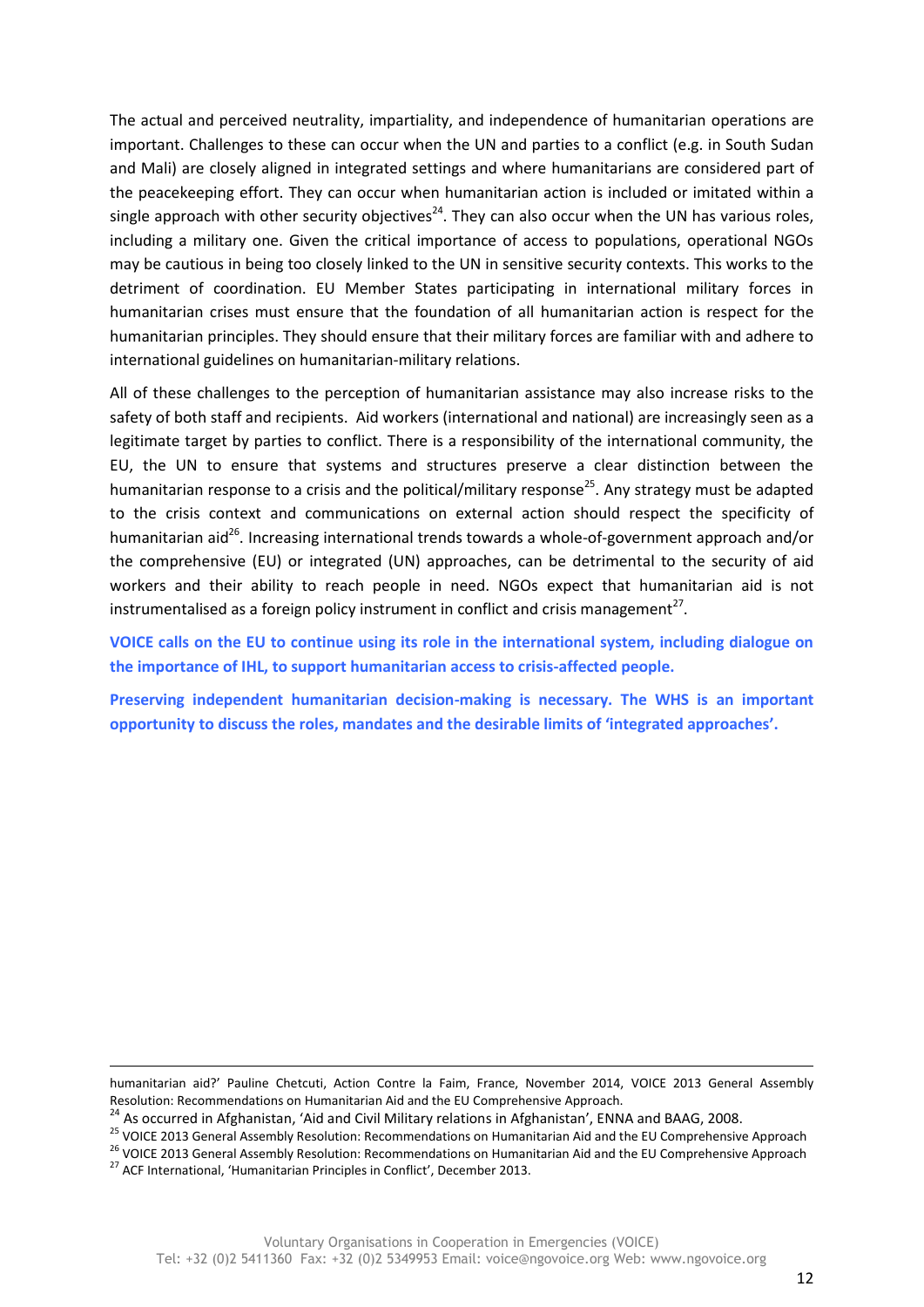The actual and perceived neutrality, impartiality, and independence of humanitarian operations are important. Challenges to these can occur when the UN and parties to a conflict (e.g. in South Sudan and Mali) are closely aligned in integrated settings and where humanitarians are considered part of the peacekeeping effort. They can occur when humanitarian action is included or imitated within a single approach with other security objectives<sup>24</sup>. They can also occur when the UN has various roles, including a military one. Given the critical importance of access to populations, operational NGOs may be cautious in being too closely linked to the UN in sensitive security contexts. This works to the detriment of coordination. EU Member States participating in international military forces in humanitarian crises must ensure that the foundation of all humanitarian action is respect for the humanitarian principles. They should ensure that their military forces are familiar with and adhere to international guidelines on humanitarian-military relations.

All of these challenges to the perception of humanitarian assistance may also increase risks to the safety of both staff and recipients. Aid workers (international and national) are increasingly seen as a legitimate target by parties to conflict. There is a responsibility of the international community, the EU, the UN to ensure that systems and structures preserve a clear distinction between the humanitarian response to a crisis and the political/military response<sup>25</sup>. Any strategy must be adapted to the crisis context and communications on external action should respect the specificity of humanitarian aid<sup>26</sup>. Increasing international trends towards a whole-of-government approach and/or the comprehensive (EU) or integrated (UN) approaches, can be detrimental to the security of aid workers and their ability to reach people in need. NGOs expect that humanitarian aid is not instrumentalised as a foreign policy instrument in conflict and crisis management<sup>27</sup>.

**VOICE calls on the EU to continue using its role in the international system, including dialogue on the importance of IHL, to support humanitarian access to crisis-affected people.**

**Preserving independent humanitarian decision-making is necessary. The WHS is an important opportunity to discuss the roles, mandates and the desirable limits of 'integrated approaches'.** 

humanitarian aid?' Pauline Chetcuti, Action Contre la Faim, France, November 2014, VOICE 2013 General Assembly Resolution: Recommendations on Humanitarian Aid and the EU Comprehensive Approach.

 $\ddot{\phantom{a}}$ 

<sup>&</sup>lt;sup>24</sup> As occurred in Afghanistan, 'Aid and Civil Military relations in Afghanistan', ENNA and BAAG, 2008.

<sup>&</sup>lt;sup>25</sup> VOICE 2013 General Assembly Resolution: Recommendations on Humanitarian Aid and the EU Comprehensive Approach

<sup>&</sup>lt;sup>26</sup> VOICE 2013 General Assembly Resolution: Recommendations on Humanitarian Aid and the EU Comprehensive Approach

<sup>&</sup>lt;sup>27</sup> ACF International, 'Humanitarian Principles in Conflict', December 2013.